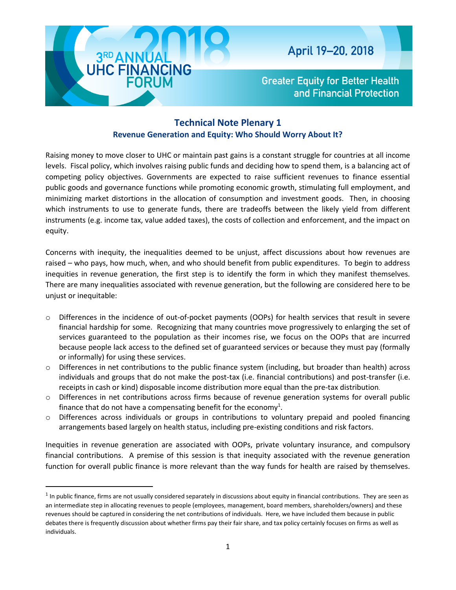

 $\overline{\phantom{a}}$ 

**Greater Equity for Better Health** and Financial Protection

## **Technical Note Plenary 1 Revenue Generation and Equity: Who Should Worry About It?**

Raising money to move closer to UHC or maintain past gains is a constant struggle for countries at all income levels. Fiscal policy, which involves raising public funds and deciding how to spend them, is a balancing act of competing policy objectives. Governments are expected to raise sufficient revenues to finance essential public goods and governance functions while promoting economic growth, stimulating full employment, and minimizing market distortions in the allocation of consumption and investment goods. Then, in choosing which instruments to use to generate funds, there are tradeoffs between the likely yield from different instruments (e.g. income tax, value added taxes), the costs of collection and enforcement, and the impact on equity.

Concerns with inequity, the inequalities deemed to be unjust, affect discussions about how revenues are raised – who pays, how much, when, and who should benefit from public expenditures. To begin to address inequities in revenue generation, the first step is to identify the form in which they manifest themselves. There are many inequalities associated with revenue generation, but the following are considered here to be unjust or inequitable:

- o Differences in the incidence of out-of-pocket payments (OOPs) for health services that result in severe financial hardship for some. Recognizing that many countries move progressively to enlarging the set of services guaranteed to the population as their incomes rise, we focus on the OOPs that are incurred because people lack access to the defined set of guaranteed services or because they must pay (formally or informally) for using these services.
- $\circ$  Differences in net contributions to the public finance system (including, but broader than health) across individuals and groups that do not make the post-tax (i.e. financial contributions) and post-transfer (i.e. receipts in cash or kind) disposable income distribution more equal than the pre-tax distribution.
- o Differences in net contributions across firms because of revenue generation systems for overall public finance that do not have a compensating benefit for the economy<sup>1</sup>.
- $\circ$  Differences across individuals or groups in contributions to voluntary prepaid and pooled financing arrangements based largely on health status, including pre-existing conditions and risk factors.

Inequities in revenue generation are associated with OOPs, private voluntary insurance, and compulsory financial contributions. A premise of this session is that inequity associated with the revenue generation function for overall public finance is more relevant than the way funds for health are raised by themselves.

 $<sup>1</sup>$  In public finance, firms are not usually considered separately in discussions about equity in financial contributions. They are seen as</sup> an intermediate step in allocating revenues to people (employees, management, board members, shareholders/owners) and these revenues should be captured in considering the net contributions of individuals. Here, we have included them because in public debates there is frequently discussion about whether firms pay their fair share, and tax policy certainly focuses on firms as well as individuals.